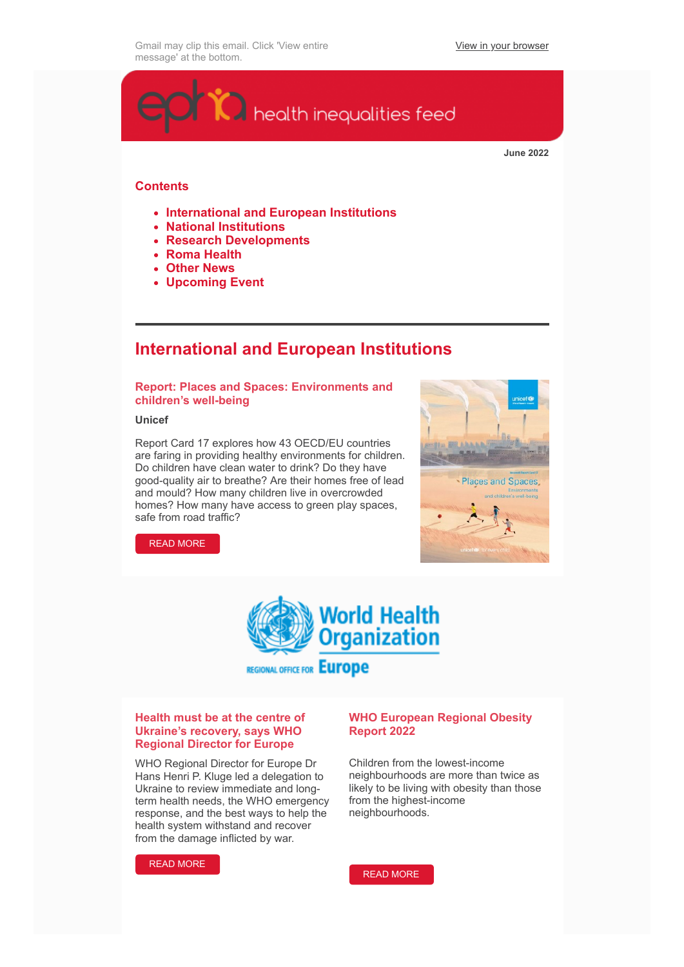[View in your browser](https://crm.epha.org/civicrm/mailing/view?reset=1&id=680&cid=14090&cs=fadd60d07493ae94892e10bfad5ce162_1654158765_168)



**June 2022**

## **Contents**

- **International and European Institutions**
- **National Institutions**
- **Research Developments**
- **Roma Health**
- **Other News**
- **Upcoming Event**

## **International and European Institutions**

## **Report: Places and Spaces: Environments and children's well-being**

#### **Unicef**

Report Card 17 explores how 43 OECD/EU countries are faring in providing healthy environments for children. Do children have clean water to drink? Do they have good-quality air to breathe? Are their homes free of lead and mould? How many children live in overcrowded homes? How many have access to green play spaces, safe from road traffic?



[READ MORE](https://www.unicef-irc.org/publications/1417-rc17-places-and-spaces-environments-and-childrens-well-being.html)



**REGIONAL OFFICE FOR EUrope** 

#### **Health must be at the centre of Ukraine's recovery, says WHO Regional Director for Europe**

WHO Regional Director for Europe Dr Hans Henri P. Kluge led a delegation to Ukraine to review immediate and longterm health needs, the WHO emergency response, and the best ways to help the health system withstand and recover from the damage inflicted by war.



## **WHO European Regional Obesity Report 2022**

Children from the lowest-income neighbourhoods are more than twice as likely to be living with obesity than those from the highest-income neighbourhoods.

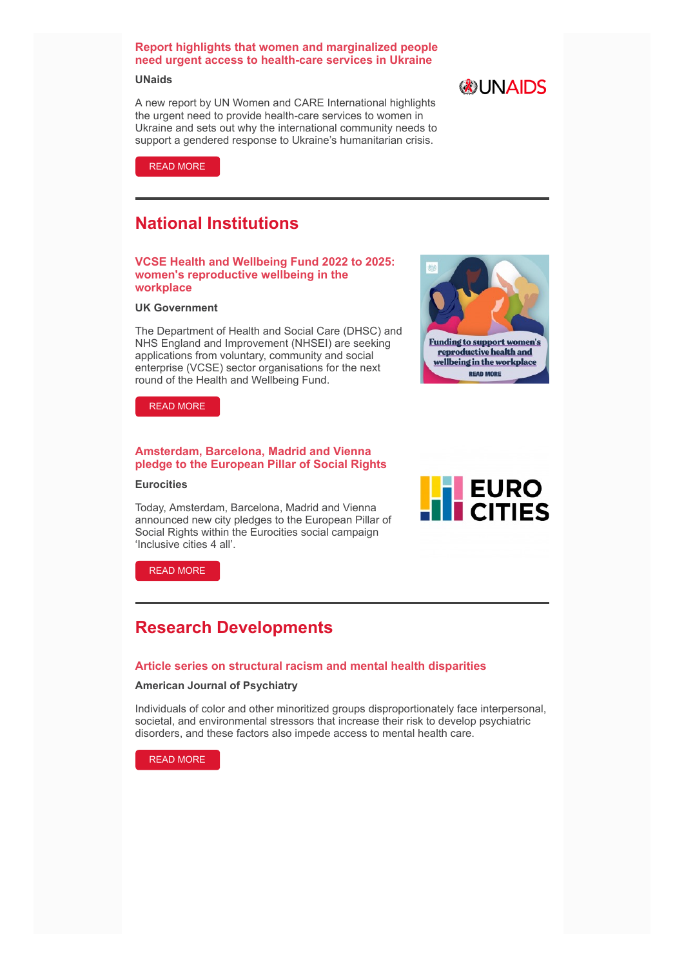## **Report highlights that women and marginalized people need urgent access to health-care services in Ukraine**

#### **UNaids**

A new report by UN Women and CARE International highlights the urgent need to provide health-care services to women in Ukraine and sets out why the international community needs to support a gendered response to Ukraine's humanitarian crisis.





## **National Institutions**

#### **VCSE Health and Wellbeing Fund 2022 to 2025: women's reproductive wellbeing in the workplace**

#### **UK Government**

The Department of Health and Social Care (DHSC) and NHS England and Improvement (NHSEI) are seeking applications from voluntary, community and social enterprise (VCSE) sector organisations for the next round of the Health and Wellbeing Fund.



[READ MORE](https://www.gov.uk/government/publications/vcse-health-and-wellbeing-fund-2022-to-2025-womens-reproductive-wellbeing-in-the-workplace)

## **Amsterdam, Barcelona, Madrid and Vienna pledge to the European Pillar of Social Rights**

#### **Eurocities**

Today, Amsterdam, Barcelona, Madrid and Vienna announced new city pledges to the European Pillar of Social Rights within the Eurocities social campaign 'Inclusive cities 4 all'.



[READ MORE](https://eurocities.eu/latest/amsterdam-barcelona-madrid-and-vienna-pledge-to-the-european-pillar-of-social-rights/)

## **Research Developments**

#### **Article series on structural racism and mental health disparities**

#### **American Journal of Psychiatry**

Individuals of color and other minoritized groups disproportionately face interpersonal, societal, and environmental stressors that increase their risk to develop psychiatric disorders, and these factors also impede access to mental health care.

[READ MORE](https://ajp.psychiatryonline.org/toc/ajp/179/6)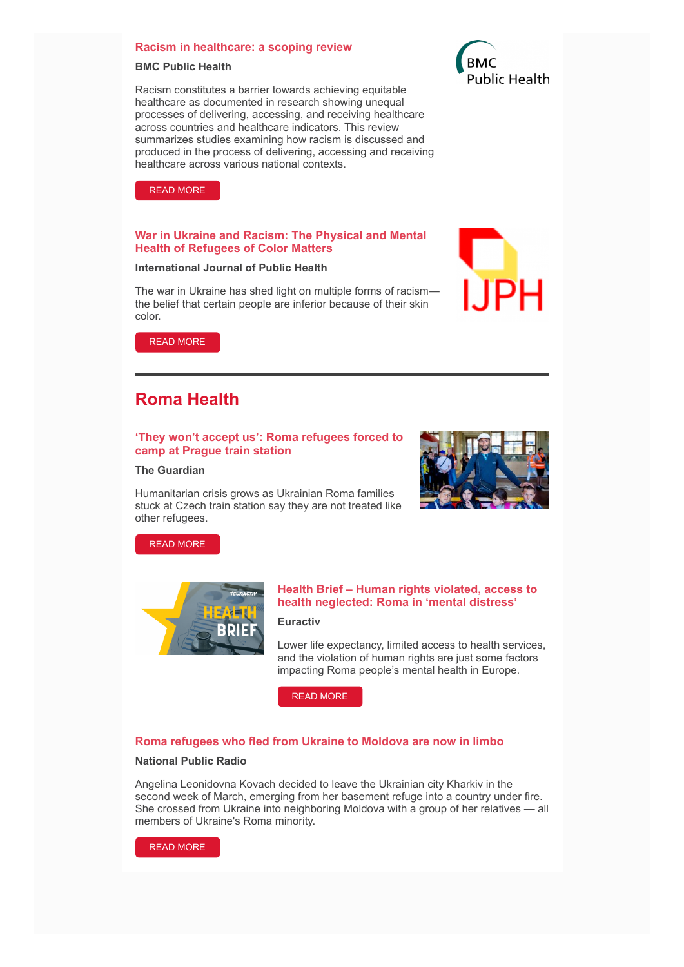#### **Racism in healthcare: a scoping review**

#### **BMC Public Health**

Racism constitutes a barrier towards achieving equitable healthcare as documented in research showing unequal processes of delivering, accessing, and receiving healthcare across countries and healthcare indicators. This review summarizes studies examining how racism is discussed and produced in the process of delivering, accessing and receiving healthcare across various national contexts.



[READ MORE](https://bmcpublichealth.biomedcentral.com/articles/10.1186/s12889-022-13122-y)

#### **War in Ukraine and Racism: The Physical and Mental Health of Refugees of Color Matters**

#### **International Journal of Public Health**

The war in Ukraine has shed light on multiple forms of racism the belief that certain people are inferior because of their skin color.



[READ MORE](https://www.ssph-journal.org/articles/10.3389/ijph.2022.1604990/full)

## **Roma Health**

#### **'They won't accept us': Roma refugees forced to camp at Prague train station**

#### **The Guardian**

Humanitarian crisis grows as Ukrainian Roma families stuck at Czech train station say they are not treated like other refugees.



[READ MORE](https://www.theguardian.com/global-development/2022/may/25/they-wont-accept-us-roma-refugees-forced-to-camp-at-prague-train-station)



### **Health Brief – Human rights violated, access to health neglected: Roma in 'mental distress'**

#### **Euractiv**

Lower life expectancy, limited access to health services, and the violation of human rights are just some factors impacting Roma people's mental health in Europe.

[READ MORE](https://www.euractiv.com/section/health-consumers/news/health-brief-human-rights-violated-access-to-health-neglected-roma-in-mental-distress/)

#### **Roma refugees who fled from Ukraine to Moldova are now in limbo**

#### **National Public Radio**

Angelina Leonidovna Kovach decided to leave the Ukrainian city Kharkiv in the second week of March, emerging from her basement refuge into a country under fire. She crossed from Ukraine into neighboring Moldova with a group of her relatives — all members of Ukraine's Roma minority.

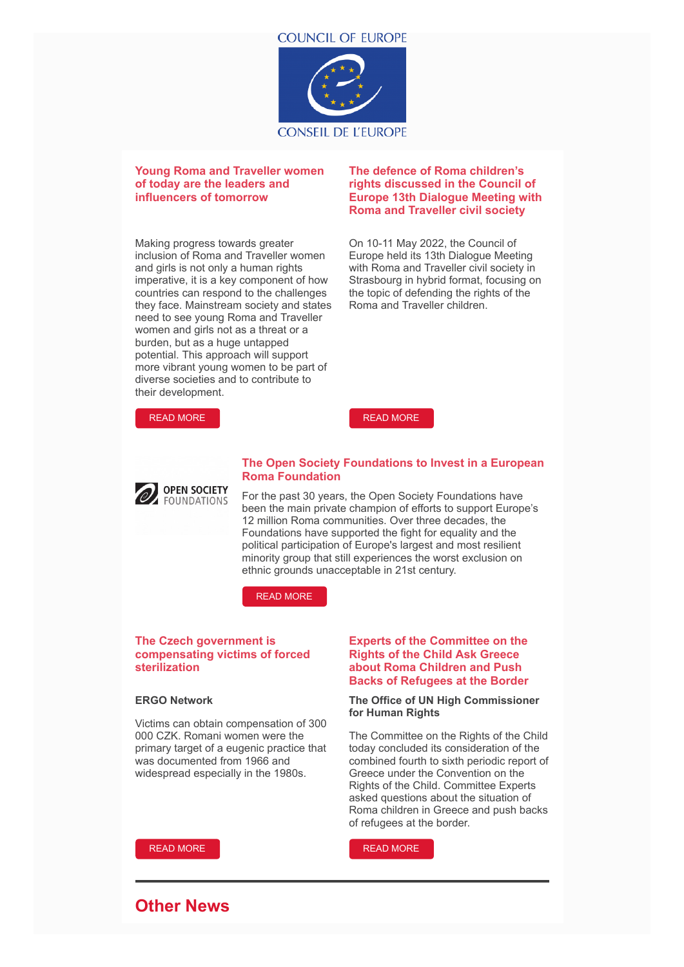

### **Young Roma and Traveller women of today are the leaders and influencers of tomorrow**

Making progress towards greater inclusion of Roma and Traveller women and girls is not only a human rights imperative, it is a key component of how countries can respond to the challenges they face. Mainstream society and states need to see young Roma and Traveller women and girls not as a threat or a burden, but as a huge untapped potential. This approach will support more vibrant young women to be part of diverse societies and to contribute to their development.

### **The defence of Roma children's rights discussed in the Council of Europe 13th Dialogue Meeting with Roma and Traveller civil society**

On 10-11 May 2022, the Council of Europe held its 13th Dialogue Meeting with Roma and Traveller civil society in Strasbourg in hybrid format, focusing on the topic of defending the rights of the Roma and Traveller children.



[READ MORE](https://www.coe.int/en/web/roma-and-travellers/-/the-defence-of-roma-children-s-rights-discussed-in-the-council-of-europe-13th-dialogue-meeting-with-roma-and-traveller-civil-society)



#### **The Open Society Foundations to Invest in a European Roma Foundation**

For the past 30 years, the Open Society Foundations have been the main private champion of efforts to support Europe's 12 million Roma communities. Over three decades, the Foundations have supported the fight for equality and the political participation of Europe's largest and most resilient minority group that still experiences the worst exclusion on ethnic grounds unacceptable in 21st century.

[READ MORE](https://www.opensocietyfoundations.org/newsroom/the-open-society-foundations-to-invest-in-a-european-roma-foundation)

## **The Czech government is compensating victims of forced sterilization**

#### **ERGO Network**

Victims can obtain compensation of 300 000 CZK. Romani women were the primary target of a eugenic practice that was documented from 1966 and widespread especially in the 1980s.

## **Experts of the Committee on the Rights of the Child Ask Greece about Roma Children and Push Backs of Refugees at the Border**

#### **The Office of UN High Commissioner for Human Rights**

The Committee on the Rights of the Child today concluded its consideration of the combined fourth to sixth periodic report of Greece under the Convention on the Rights of the Child. Committee Experts asked questions about the situation of Roma children in Greece and push backs of refugees at the border.

[READ MORE](https://www.ohchr.org/en/press-releases/2022/05/experts-committee-rights-child-ask-greece-about-roma-children-and-push-backs)

## **Other News**

[READ MORE](https://ergonetwork.org/2022/05/the-czech-government-is-compensating-victims-of-forced-sterilization/)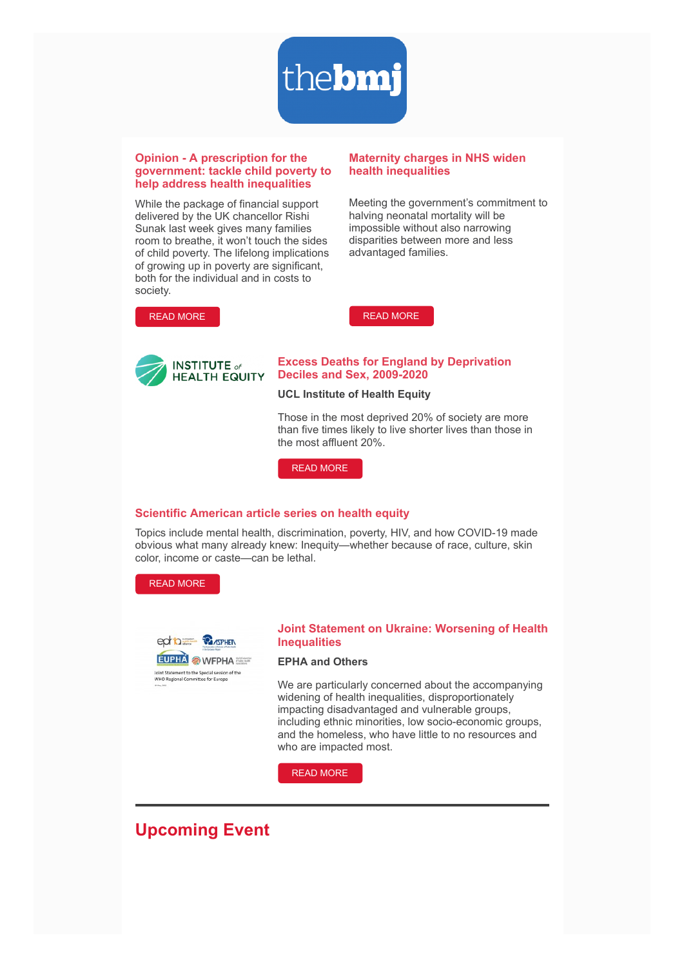

#### **Opinion - A prescription for the government: tackle child poverty to help address health inequalities**

While the package of financial support delivered by the UK chancellor Rishi Sunak last week gives many families room to breathe, it won't touch the sides of child poverty. The lifelong implications of growing up in poverty are significant, both for the individual and in costs to society.

#### **Maternity charges in NHS widen health inequalities**

Meeting the government's commitment to halving neonatal mortality will be impossible without also narrowing disparities between more and less advantaged families.



[READ MORE](https://www.bmj.com/content/377/bmj-2022-071154.full)



#### **Excess Deaths for England by Deprivation Deciles and Sex, 2009-2020**

#### **UCL Institute of Health Equity**

Those in the most deprived 20% of society are more than five times likely to live shorter lives than those in the most affluent 20%.

[READ MORE](https://www.instituteofhealthequity.org/resources-reports/all-together-fairer-health-equity-and-the-social-determinants-of-health-in-cheshire-and-merseyside)

#### **Scientific American article series on health equity**

Topics include mental health, discrimination, poverty, HIV, and how COVID-19 made obvious what many already knew: Inequity—whether because of race, culture, skin color, income or caste—can be lethal.

[READ MORE](https://www.scientificamerican.com/collection/innovations-in-health-equity/)



#### **Joint Statement on Ukraine: Worsening of Health Inequalities**

#### **EPHA and Others**

We are particularly concerned about the accompanying widening of health inequalities, disproportionately impacting disadvantaged and vulnerable groups, including ethnic minorities, low socio-economic groups, and the homeless, who have little to no resources and who are impacted most.

[READ MORE](https://epha.org/joint-statement-on-the-special-session-of-the-who-regional-committee-for-europe/)

# **Upcoming Event**